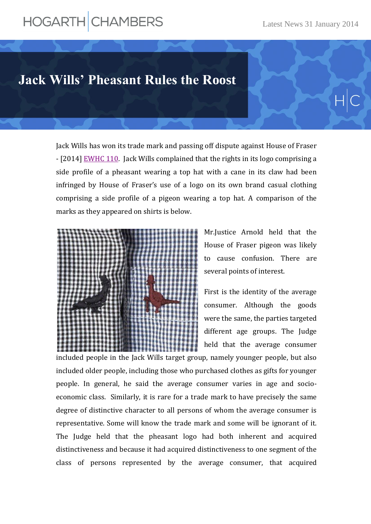## HOGARTH CHAMBERS

## **Jack Wills' Pheasant Rules the Roost**

Jack Wills has won its trade mark and passing off dispute against House of Fraser - [2014] [EWHC 110.](http://www.bailii.org/cgi-bin/markup.cgi?doc=/ew/cases/EWHC/Ch/2014/110.html&query=EWHC+and+110&method=boolean) Jack Wills complained that the rights in its logo comprising a side profile of a pheasant wearing a top hat with a cane in its claw had been infringed by House of Fraser's use of a logo on its own brand casual clothing comprising a side profile of a pigeon wearing a top hat. A comparison of the marks as they appeared on shirts is below.



Mr.Justice Arnold held that the House of Fraser pigeon was likely to cause confusion. There are several points of interest.

First is the identity of the average consumer. Although the goods were the same, the parties targeted different age groups. The Judge held that the average consumer

included people in the Jack Wills target group, namely younger people, but also included older people, including those who purchased clothes as gifts for younger people. In general, he said the average consumer varies in age and socioeconomic class. Similarly, it is rare for a trade mark to have precisely the same degree of distinctive character to all persons of whom the average consumer is representative. Some will know the trade mark and some will be ignorant of it. The Judge held that the pheasant logo had both inherent and acquired distinctiveness and because it had acquired distinctiveness to one segment of the class of persons represented by the average consumer, that acquired